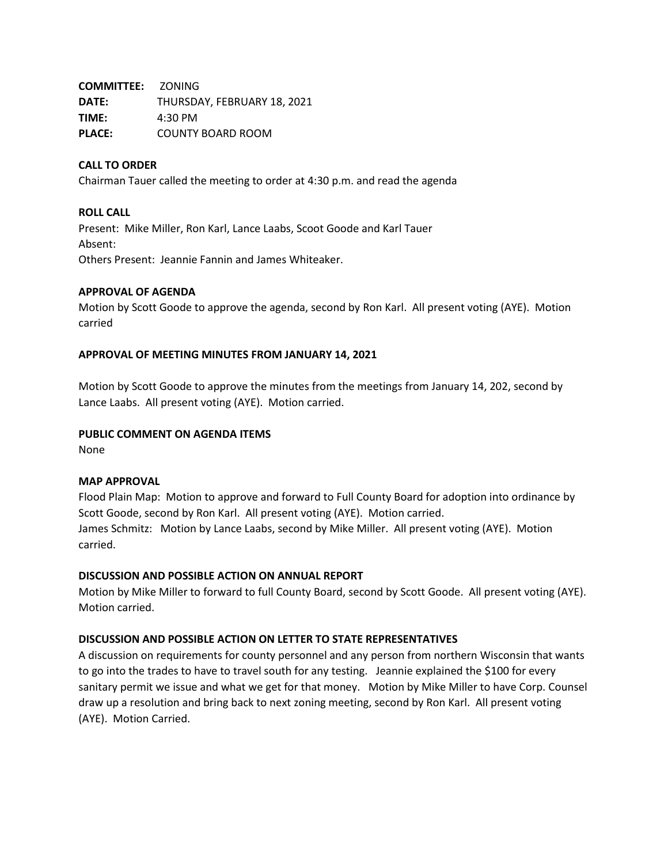**COMMITTEE:** ZONING **DATE:** THURSDAY, FEBRUARY 18, 2021 **TIME:** 4:30 PM **PLACE:** COUNTY BOARD ROOM

# **CALL TO ORDER**

Chairman Tauer called the meeting to order at 4:30 p.m. and read the agenda

#### **ROLL CALL**

Present: Mike Miller, Ron Karl, Lance Laabs, Scoot Goode and Karl Tauer Absent: Others Present: Jeannie Fannin and James Whiteaker.

## **APPROVAL OF AGENDA**

Motion by Scott Goode to approve the agenda, second by Ron Karl. All present voting (AYE). Motion carried

## **APPROVAL OF MEETING MINUTES FROM JANUARY 14, 2021**

Motion by Scott Goode to approve the minutes from the meetings from January 14, 202, second by Lance Laabs. All present voting (AYE). Motion carried.

#### **PUBLIC COMMENT ON AGENDA ITEMS**

None

#### **MAP APPROVAL**

Flood Plain Map: Motion to approve and forward to Full County Board for adoption into ordinance by Scott Goode, second by Ron Karl. All present voting (AYE). Motion carried. James Schmitz: Motion by Lance Laabs, second by Mike Miller. All present voting (AYE). Motion carried.

#### **DISCUSSION AND POSSIBLE ACTION ON ANNUAL REPORT**

Motion by Mike Miller to forward to full County Board, second by Scott Goode. All present voting (AYE). Motion carried.

# **DISCUSSION AND POSSIBLE ACTION ON LETTER TO STATE REPRESENTATIVES**

A discussion on requirements for county personnel and any person from northern Wisconsin that wants to go into the trades to have to travel south for any testing. Jeannie explained the \$100 for every sanitary permit we issue and what we get for that money. Motion by Mike Miller to have Corp. Counsel draw up a resolution and bring back to next zoning meeting, second by Ron Karl. All present voting (AYE). Motion Carried.